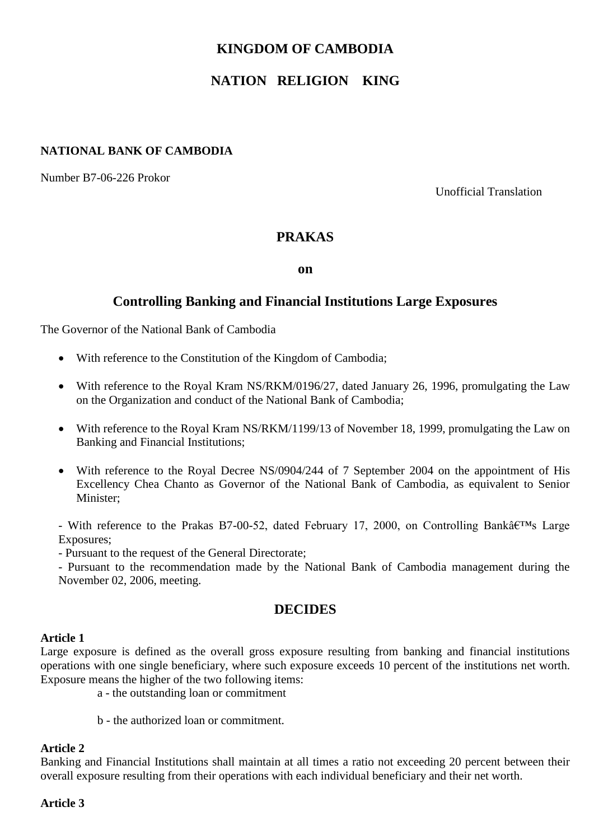# **KINGDOM OF CAMBODIA**

# **NATION RELIGION KING**

## **NATIONAL BANK OF CAMBODIA**

Number B7-06-226 Prokor

Unofficial Translation

# **PRAKAS**

**on**

# **Controlling Banking and Financial Institutions Large Exposures**

The Governor of the National Bank of Cambodia

- With reference to the Constitution of the Kingdom of Cambodia;
- With reference to the Royal Kram NS/RKM/0196/27, dated January 26, 1996, promulgating the Law on the Organization and conduct of the National Bank of Cambodia;
- With reference to the Royal Kram NS/RKM/1199/13 of November 18, 1999, promulgating the Law on Banking and Financial Institutions;
- With reference to the Royal Decree NS/0904/244 of 7 September 2004 on the appointment of His Excellency Chea Chanto as Governor of the National Bank of Cambodia, as equivalent to Senior Minister;

- With reference to the Prakas B7-00-52, dated February 17, 2000, on Controlling Bank $\hat{a} \in T^{M}$ s Large Exposures;

- Pursuant to the request of the General Directorate;

- Pursuant to the recommendation made by the National Bank of Cambodia management during the November 02, 2006, meeting.

# **DECIDES**

#### **Article 1**

Large exposure is defined as the overall gross exposure resulting from banking and financial institutions operations with one single beneficiary, where such exposure exceeds 10 percent of the institutions net worth. Exposure means the higher of the two following items:

a - the outstanding loan or commitment

b - the authorized loan or commitment.

#### **Article 2**

Banking and Financial Institutions shall maintain at all times a ratio not exceeding 20 percent between their overall exposure resulting from their operations with each individual beneficiary and their net worth.

#### **Article 3**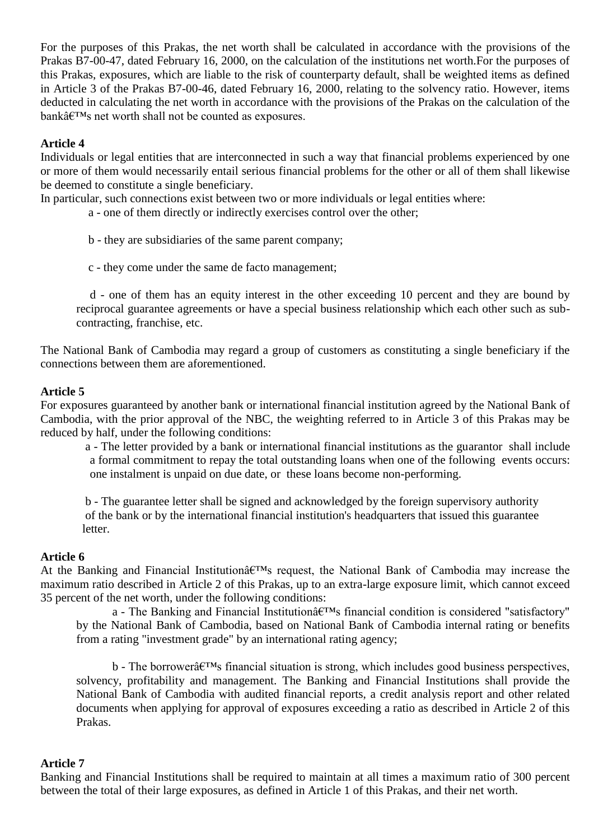For the purposes of this Prakas, the net worth shall be calculated in accordance with the provisions of the Prakas B7-00-47, dated February 16, 2000, on the calculation of the institutions net worth.For the purposes of this Prakas, exposures, which are liable to the risk of counterparty default, shall be weighted items as defined in Article 3 of the Prakas B7-00-46, dated February 16, 2000, relating to the solvency ratio. However, items deducted in calculating the net worth in accordance with the provisions of the Prakas on the calculation of the  $bank\hat{a}\in TMs$  net worth shall not be counted as exposures.

#### **Article 4**

Individuals or legal entities that are interconnected in such a way that financial problems experienced by one or more of them would necessarily entail serious financial problems for the other or all of them shall likewise be deemed to constitute a single beneficiary.

In particular, such connections exist between two or more individuals or legal entities where:

- a one of them directly or indirectly exercises control over the other;
- b they are subsidiaries of the same parent company;
- c they come under the same de facto management;

d - one of them has an equity interest in the other exceeding 10 percent and they are bound by reciprocal guarantee agreements or have a special business relationship which each other such as subcontracting, franchise, etc.

The National Bank of Cambodia may regard a group of customers as constituting a single beneficiary if the connections between them are aforementioned.

#### **Article 5**

For exposures guaranteed by another bank or international financial institution agreed by the National Bank of Cambodia, with the prior approval of the NBC, the weighting referred to in Article 3 of this Prakas may be reduced by half, under the following conditions:

 a - The letter provided by a bank or international financial institutions as the guarantor shall include a formal commitment to repay the total outstanding loans when one of the following events occurs: one instalment is unpaid on due date, or these loans become non-performing.

 b - The guarantee letter shall be signed and acknowledged by the foreign supervisory authority of the bank or by the international financial institution's headquarters that issued this guarantee letter.

#### **Article 6**

At the Banking and Financial Institution $\hat{a} \in T^{M}$ s request, the National Bank of Cambodia may increase the maximum ratio described in Article 2 of this Prakas, up to an extra-large exposure limit, which cannot exceed 35 percent of the net worth, under the following conditions:

a - The Banking and Financial Institution $\hat{a} \in T^{M}$ s financial condition is considered "satisfactory" by the National Bank of Cambodia, based on National Bank of Cambodia internal rating or benefits from a rating "investment grade" by an international rating agency;

 $b$  - The borrower $\hat{a} \in T^{M}$ s financial situation is strong, which includes good business perspectives, solvency, profitability and management. The Banking and Financial Institutions shall provide the National Bank of Cambodia with audited financial reports, a credit analysis report and other related documents when applying for approval of exposures exceeding a ratio as described in Article 2 of this Prakas.

#### **Article 7**

Banking and Financial Institutions shall be required to maintain at all times a maximum ratio of 300 percent between the total of their large exposures, as defined in Article 1 of this Prakas, and their net worth.